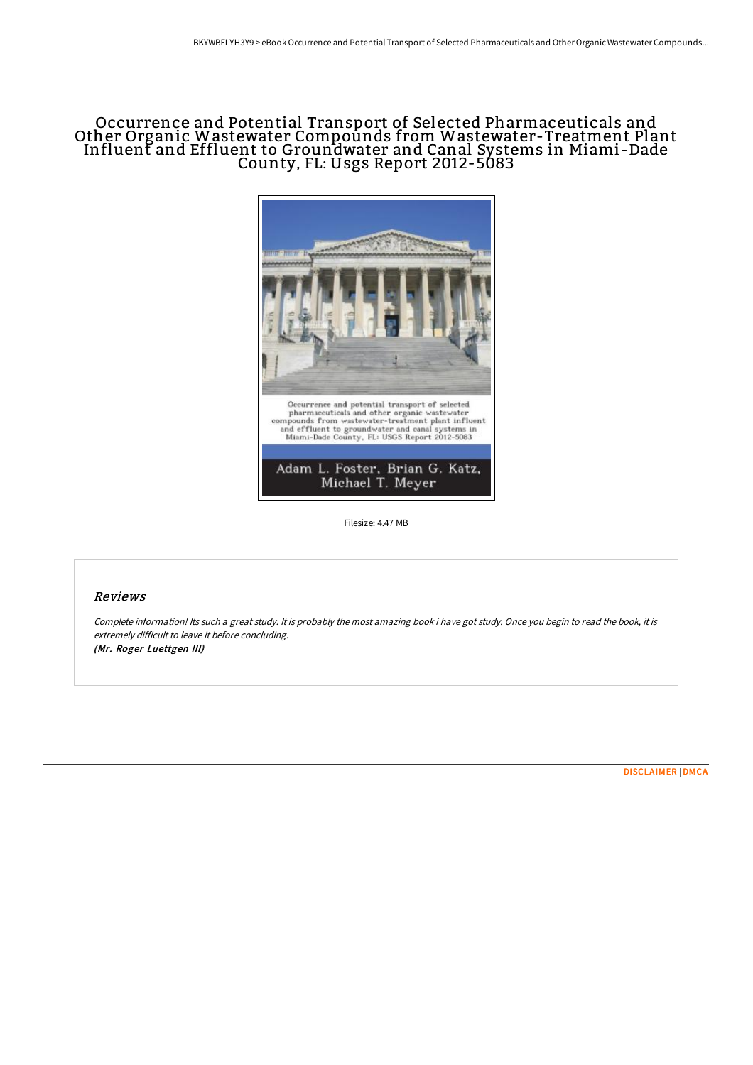# Occurrence and Potential Transport of Selected Pharmaceuticals and Other Organic Wastewater Compounds from Wastewater-Treatment Plant Influent and Effluent to Groundwater and Canal Systems in Miami-Dade County, FL: Usgs Report 2012-5083



Filesize: 4.47 MB

## Reviews

Complete information! Its such <sup>a</sup> great study. It is probably the most amazing book i have got study. Once you begin to read the book, it is extremely difficult to leave it before concluding. (Mr. Roger Luettgen III)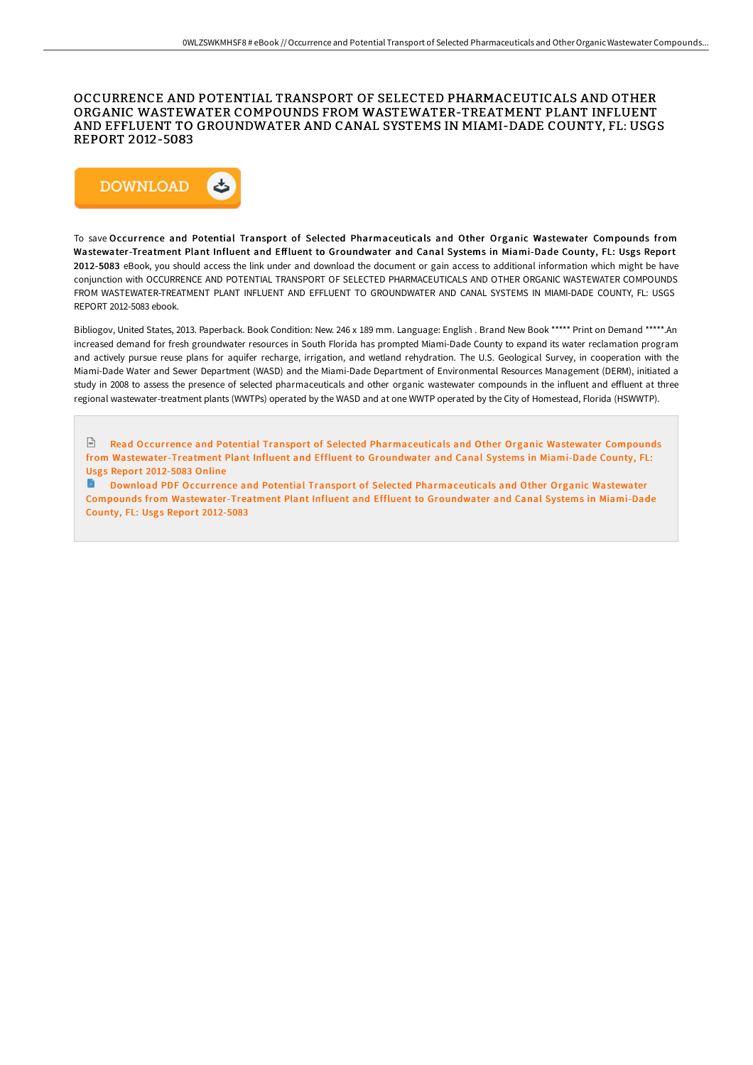#### OCCURRENCE AND POTENTIAL TRANSPORT OF SELECTED PHARMACEUTICALS AND OTHER ORGANIC WASTEWATER COMPOUNDS FROM WASTEWATER-TREATMENT PLANT INFLUENT AND EFFLUENT TO GROUNDWATER AND CANAL SYSTEMS IN MIAMI-DADE COUNTY, FL: USGS REPORT 2012-5083



To save Occurrence and Potential Transport of Selected Pharmaceuticals and Other Organic Wastewater Compounds from Wastewater-Treatment Plant Influent and Effluent to Groundwater and Canal Systems in Miami-Dade County, FL: Usgs Report 2012-5083 eBook, you should access the link under and download the document or gain access to additional information which might be have conjunction with OCCURRENCE AND POTENTIAL TRANSPORT OF SELECTED PHARMACEUTICALS AND OTHER ORGANIC WASTEWATER COMPOUNDS FROM WASTEWATER-TREATMENT PLANT INFLUENT AND EFFLUENT TO GROUNDWATER AND CANAL SYSTEMS IN MIAMI-DADE COUNTY, FL: USGS REPORT 2012-5083 ebook.

Bibliogov, United States, 2013. Paperback. Book Condition: New. 246 x 189 mm. Language: English . Brand New Book \*\*\*\*\* Print on Demand \*\*\*\*\*.An increased demand for fresh groundwater resources in South Florida has prompted Miami-Dade County to expand its water reclamation program and actively pursue reuse plans for aquifer recharge, irrigation, and wetland rehydration. The U.S. Geological Survey, in cooperation with the Miami-Dade Water and Sewer Department (WASD) and the Miami-Dade Department of Environmental Resources Management (DERM), initiated a study in 2008 to assess the presence of selected pharmaceuticals and other organic wastewater compounds in the influent and effluent at three regional wastewater-treatment plants (WWTPs) operated by the WASD and at one WWTP operated by the City of Homestead, Florida (HSWWTP).

 $\mathbb F$  Read Occurrence and Potential Transport of Selected Pharmaceuticals and Other Organic Wastewater Compounds from [Wastewater-Treatment](http://techno-pub.tech/occurrence-and-potential-transport-of-selected-p.html) Plant Influent and Effluent to Groundwater and Canal Systems in Miami-Dade County, FL: Usgs Report 2012-5083 Online

**Download PDF Occurrence and Potential Transport of Selected Pharmaceuticals and Other Organic Wastewater** Compounds from [Wastewater-Treatment](http://techno-pub.tech/occurrence-and-potential-transport-of-selected-p.html) Plant Influent and Effluent to Groundwater and Canal Systems in Miami-Dade County, FL: Usgs Report 2012-5083